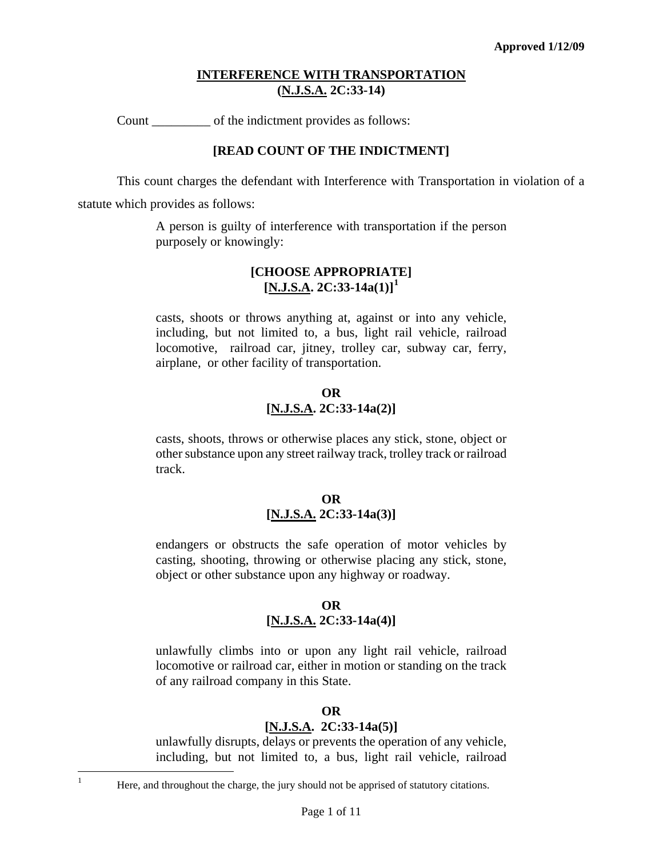Count of the indictment provides as follows:

#### **[READ COUNT OF THE INDICTMENT]**

This count charges the defendant with Interference with Transportation in violation of a

statute which provides as follows:

A person is guilty of interference with transportation if the person purposely or knowingly:

### **[CHOOSE APPROPRIATE] [N.J.S.A. 2C:33-14a(1)][1](#page-0-0)**

casts, shoots or throws anything at, against or into any vehicle, including, but not limited to, a bus, light rail vehicle, railroad locomotive, railroad car, jitney, trolley car, subway car, ferry, airplane, or other facility of transportation.

### **OR [N.J.S.A. 2C:33-14a(2)]**

casts, shoots, throws or otherwise places any stick, stone, object or other substance upon any street railway track, trolley track or railroad track.

### **OR [N.J.S.A. 2C:33-14a(3)]**

endangers or obstructs the safe operation of motor vehicles by casting, shooting, throwing or otherwise placing any stick, stone, object or other substance upon any highway or roadway.

### **OR [N.J.S.A. 2C:33-14a(4)]**

unlawfully climbs into or upon any light rail vehicle, railroad locomotive or railroad car, either in motion or standing on the track of any railroad company in this State.

#### **OR**

# **[N.J.S.A. 2C:33-14a(5)]**

unlawfully disrupts, delays or prevents the operation of any vehicle, including, but not limited to, a bus, light rail vehicle, railroad

<span id="page-0-1"></span><span id="page-0-0"></span> $\frac{1}{1}$ 

Here, and throughout the charge, the jury should not be apprised of statutory citations.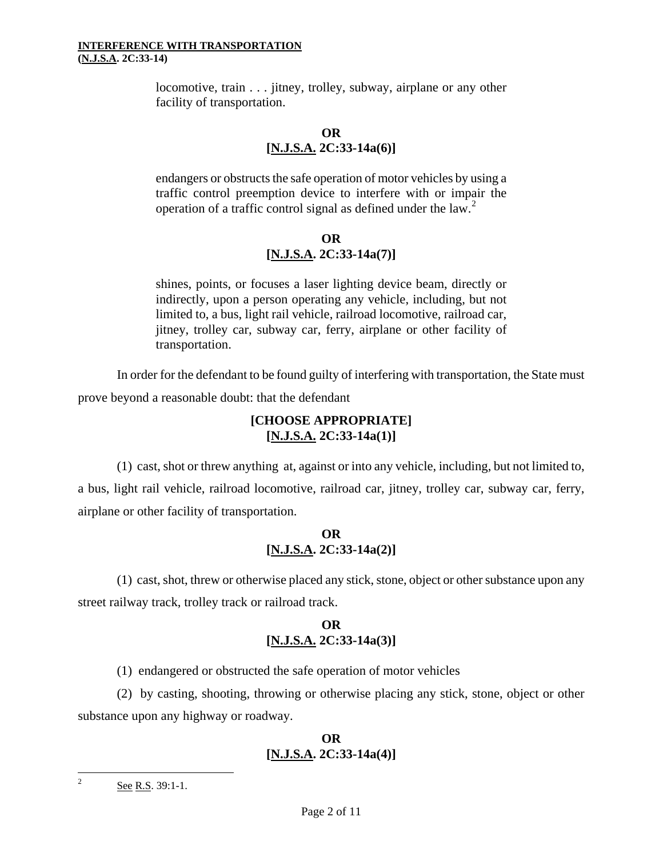locomotive, train . . . jitney, trolley, subway, airplane or any other facility of transportation.

**OR [N.J.S.A. 2C:33-14a(6)]**

endangers or obstructs the safe operation of motor vehicles by using a traffic control preemption device to interfere with or impair the operation of a traffic control signal as defined under the law.<sup>[2](#page-0-1)</sup>

# **OR [N.J.S.A. 2C:33-14a(7)]**

shines, points, or focuses a laser lighting device beam, directly or indirectly, upon a person operating any vehicle, including, but not limited to, a bus, light rail vehicle, railroad locomotive, railroad car, jitney, trolley car, subway car, ferry, airplane or other facility of transportation.

In order for the defendant to be found guilty of interfering with transportation, the State must prove beyond a reasonable doubt: that the defendant

### **[CHOOSE APPROPRIATE] [N.J.S.A. 2C:33-14a(1)]**

(1) cast, shot or threw anything at, against or into any vehicle, including, but not limited to, a bus, light rail vehicle, railroad locomotive, railroad car, jitney, trolley car, subway car, ferry, airplane or other facility of transportation.

# **OR [N.J.S.A. 2C:33-14a(2)]**

(1) cast, shot, threw or otherwise placed any stick, stone, object or other substance upon any street railway track, trolley track or railroad track.

# **OR [N.J.S.A. 2C:33-14a(3)]**

(1) endangered or obstructed the safe operation of motor vehicles

(2) by casting, shooting, throwing or otherwise placing any stick, stone, object or other substance upon any highway or roadway.

### **OR [N.J.S.A. 2C:33-14a(4)]**

<span id="page-1-0"></span> $\frac{1}{2}$ 

See R.S. 39:1-1.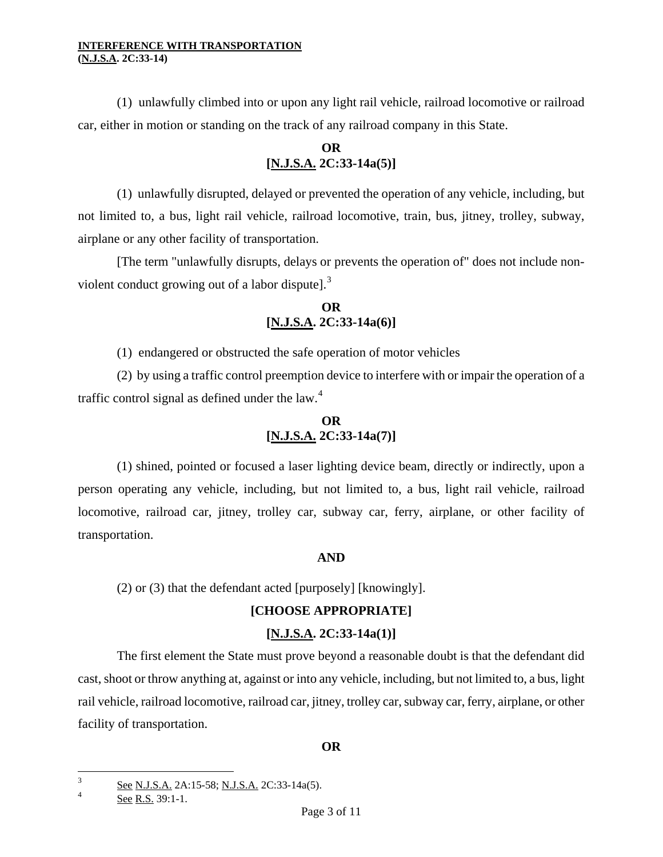(1) unlawfully climbed into or upon any light rail vehicle, railroad locomotive or railroad car, either in motion or standing on the track of any railroad company in this State.

# **OR [N.J.S.A. 2C:33-14a(5)]**

(1) unlawfully disrupted, delayed or prevented the operation of any vehicle, including, but not limited to, a bus, light rail vehicle, railroad locomotive, train, bus, jitney, trolley, subway, airplane or any other facility of transportation.

[The term "unlawfully disrupts, delays or prevents the operation of" does not include non-violent conduct growing out of a labor dispute].<sup>[3](#page-1-0)</sup>

# **OR [N.J.S.A. 2C:33-14a(6)]**

(1) endangered or obstructed the safe operation of motor vehicles

(2) by using a traffic control preemption device to interfere with or impair the operation of a traffic control signal as defined under the law. $4$ 

# **OR [N.J.S.A. 2C:33-14a(7)]**

(1) shined, pointed or focused a laser lighting device beam, directly or indirectly, upon a person operating any vehicle, including, but not limited to, a bus, light rail vehicle, railroad locomotive, railroad car, jitney, trolley car, subway car, ferry, airplane, or other facility of transportation.

# **AND**

(2) or (3) that the defendant acted [purposely] [knowingly].

# **[CHOOSE APPROPRIATE]**

# **[N.J.S.A. 2C:33-14a(1)]**

The first element the State must prove beyond a reasonable doubt is that the defendant did cast, shoot or throw anything at, against or into any vehicle, including, but not limited to, a bus, light rail vehicle, railroad locomotive, railroad car, jitney, trolley car, subway car, ferry, airplane, or other facility of transportation.

# **OR**

 $\frac{1}{3}$ See N.J.S.A. 2A:15-58; N.J.S.A. 2C:33-14a(5).

<span id="page-2-0"></span><sup>4</sup> See R.S. 39:1-1.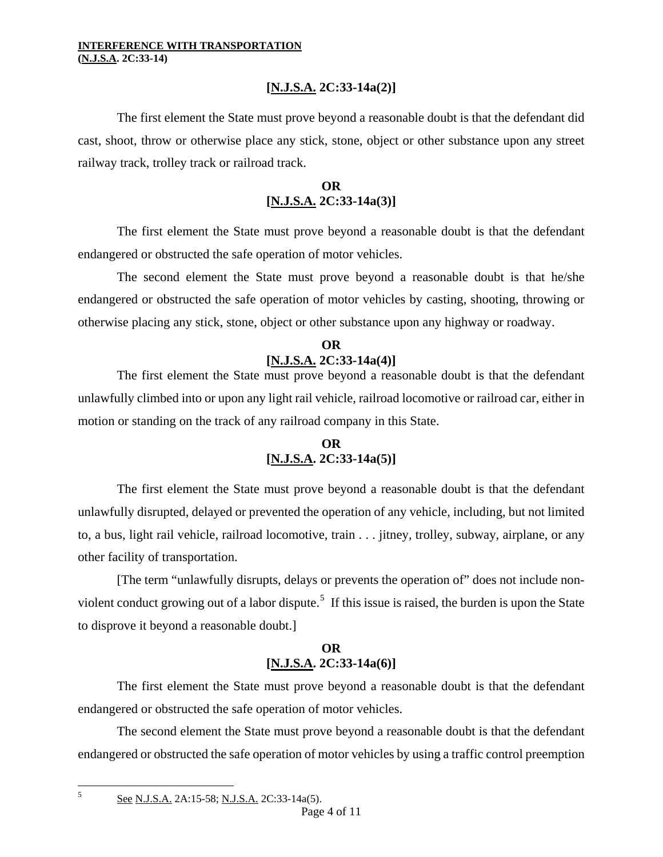# **[N.J.S.A. 2C:33-14a(2)]**

The first element the State must prove beyond a reasonable doubt is that the defendant did cast, shoot, throw or otherwise place any stick, stone, object or other substance upon any street railway track, trolley track or railroad track.

# **OR [N.J.S.A. 2C:33-14a(3)]**

The first element the State must prove beyond a reasonable doubt is that the defendant endangered or obstructed the safe operation of motor vehicles.

The second element the State must prove beyond a reasonable doubt is that he/she endangered or obstructed the safe operation of motor vehicles by casting, shooting, throwing or otherwise placing any stick, stone, object or other substance upon any highway or roadway.

### **OR [N.J.S.A. 2C:33-14a(4)]**

The first element the State must prove beyond a reasonable doubt is that the defendant unlawfully climbed into or upon any light rail vehicle, railroad locomotive or railroad car, either in motion or standing on the track of any railroad company in this State.

# **OR [N.J.S.A. 2C:33-14a(5)]**

The first element the State must prove beyond a reasonable doubt is that the defendant unlawfully disrupted, delayed or prevented the operation of any vehicle, including, but not limited to, a bus, light rail vehicle, railroad locomotive, train . . . jitney, trolley, subway, airplane, or any other facility of transportation.

[The term "unlawfully disrupts, delays or prevents the operation of" does not include non-violent conduct growing out of a labor dispute.<sup>[5](#page-2-0)</sup> If this issue is raised, the burden is upon the State to disprove it beyond a reasonable doubt.]

# **OR [N.J.S.A. 2C:33-14a(6)]**

The first element the State must prove beyond a reasonable doubt is that the defendant endangered or obstructed the safe operation of motor vehicles.

The second element the State must prove beyond a reasonable doubt is that the defendant endangered or obstructed the safe operation of motor vehicles by using a traffic control preemption

See N.J.S.A. 2A:15-58; N.J.S.A. 2C:33-14a(5).

<span id="page-3-0"></span>È, 5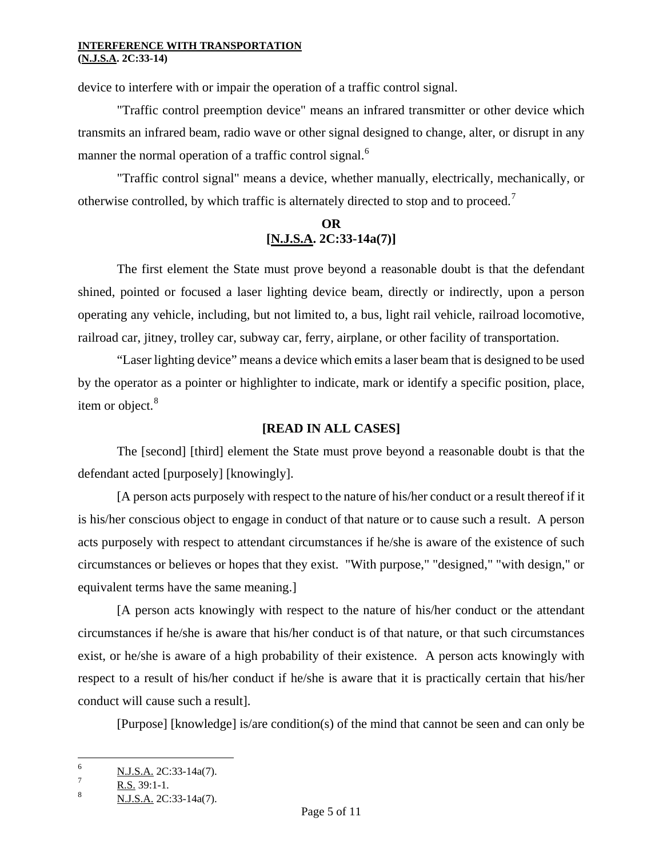device to interfere with or impair the operation of a traffic control signal.

"Traffic control preemption device" means an infrared transmitter or other device which transmits an infrared beam, radio wave or other signal designed to change, alter, or disrupt in any manner the normal operation of a traffic control signal.<sup>[6](#page-3-0)</sup>

"Traffic control signal" means a device, whether manually, electrically, mechanically, or otherwise controlled, by which traffic is alternately directed to stop and to proceed.<sup>[7](#page-4-0)</sup>

# **OR [N.J.S.A. 2C:33-14a(7)]**

The first element the State must prove beyond a reasonable doubt is that the defendant shined, pointed or focused a laser lighting device beam, directly or indirectly, upon a person operating any vehicle, including, but not limited to, a bus, light rail vehicle, railroad locomotive, railroad car, jitney, trolley car, subway car, ferry, airplane, or other facility of transportation.

"Laser lighting device" means a device which emits a laser beam that is designed to be used by the operator as a pointer or highlighter to indicate, mark or identify a specific position, place, item or object.<sup>[8](#page-4-1)</sup>

### **[READ IN ALL CASES]**

The [second] [third] element the State must prove beyond a reasonable doubt is that the defendant acted [purposely] [knowingly].

[A person acts purposely with respect to the nature of his/her conduct or a result thereof if it is his/her conscious object to engage in conduct of that nature or to cause such a result. A person acts purposely with respect to attendant circumstances if he/she is aware of the existence of such circumstances or believes or hopes that they exist. "With purpose," "designed," "with design," or equivalent terms have the same meaning.]

[A person acts knowingly with respect to the nature of his/her conduct or the attendant circumstances if he/she is aware that his/her conduct is of that nature, or that such circumstances exist, or he/she is aware of a high probability of their existence. A person acts knowingly with respect to a result of his/her conduct if he/she is aware that it is practically certain that his/her conduct will cause such a result].

[Purpose] [knowledge] is/are condition(s) of the mind that cannot be seen and can only be

<sup>6</sup> N.J.S.A. 2C:33-14a(7).

<span id="page-4-2"></span><span id="page-4-0"></span><sup>7</sup> R.S. 39:1-1.

<span id="page-4-1"></span><sup>8</sup> N.J.S.A. 2C:33-14a(7).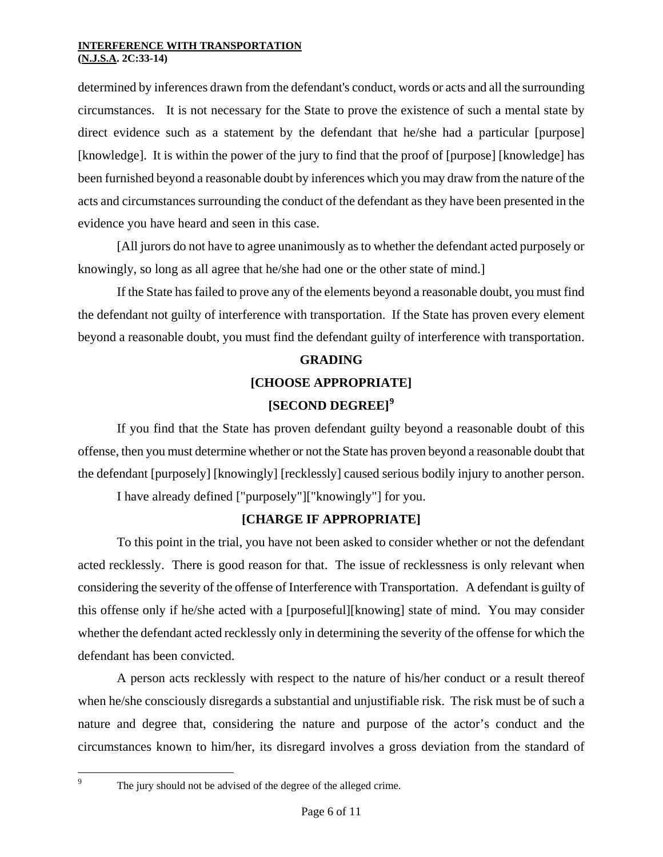determined by inferences drawn from the defendant's conduct, words or acts and all the surrounding circumstances. It is not necessary for the State to prove the existence of such a mental state by direct evidence such as a statement by the defendant that he/she had a particular [purpose] [knowledge]. It is within the power of the jury to find that the proof of [purpose] [knowledge] has been furnished beyond a reasonable doubt by inferences which you may draw from the nature of the acts and circumstances surrounding the conduct of the defendant as they have been presented in the evidence you have heard and seen in this case.

[All jurors do not have to agree unanimously as to whether the defendant acted purposely or knowingly, so long as all agree that he/she had one or the other state of mind.]

If the State has failed to prove any of the elements beyond a reasonable doubt, you must find the defendant not guilty of interference with transportation. If the State has proven every element beyond a reasonable doubt, you must find the defendant guilty of interference with transportation.

# **GRADING [CHOOSE APPROPRIATE] [SECOND DEGREE][9](#page-4-2)**

If you find that the State has proven defendant guilty beyond a reasonable doubt of this offense, then you must determine whether or not the State has proven beyond a reasonable doubt that the defendant [purposely] [knowingly] [recklessly] caused serious bodily injury to another person.

I have already defined ["purposely"]["knowingly"] for you.

# **[CHARGE IF APPROPRIATE]**

To this point in the trial, you have not been asked to consider whether or not the defendant acted recklessly. There is good reason for that. The issue of recklessness is only relevant when considering the severity of the offense of Interference with Transportation. A defendant is guilty of this offense only if he/she acted with a [purposeful][knowing] state of mind. You may consider whether the defendant acted recklessly only in determining the severity of the offense for which the defendant has been convicted.

A person acts recklessly with respect to the nature of his/her conduct or a result thereof when he/she consciously disregards a substantial and unjustifiable risk. The risk must be of such a nature and degree that, considering the nature and purpose of the actor's conduct and the circumstances known to him/her, its disregard involves a gross deviation from the standard of

<span id="page-5-0"></span><sup>9</sup>

The jury should not be advised of the degree of the alleged crime.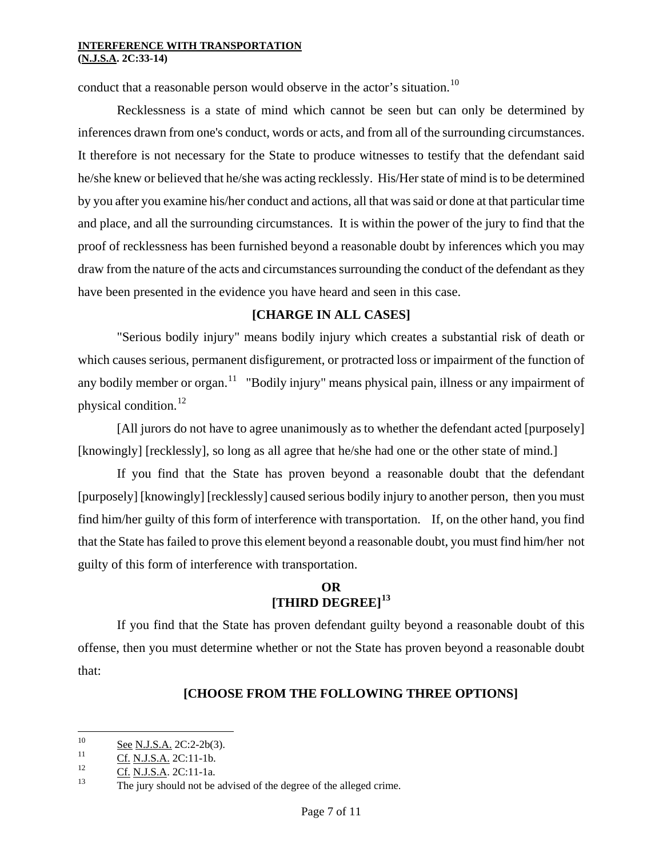conduct that a reasonable person would observe in the actor's situation.<sup>[10](#page-5-0)</sup>

Recklessness is a state of mind which cannot be seen but can only be determined by inferences drawn from one's conduct, words or acts, and from all of the surrounding circumstances. It therefore is not necessary for the State to produce witnesses to testify that the defendant said he/she knew or believed that he/she was acting recklessly. His/Her state of mind is to be determined by you after you examine his/her conduct and actions, all that was said or done at that particular time and place, and all the surrounding circumstances. It is within the power of the jury to find that the proof of recklessness has been furnished beyond a reasonable doubt by inferences which you may draw from the nature of the acts and circumstances surrounding the conduct of the defendant as they have been presented in the evidence you have heard and seen in this case.

# **[CHARGE IN ALL CASES]**

"Serious bodily injury" means bodily injury which creates a substantial risk of death or which causes serious, permanent disfigurement, or protracted loss or impairment of the function of any bodily member or organ.<sup>[11](#page-6-0)</sup> "Bodily injury" means physical pain, illness or any impairment of physical condition.[12](#page-6-1)

[All jurors do not have to agree unanimously as to whether the defendant acted [purposely] [knowingly] [recklessly], so long as all agree that he/she had one or the other state of mind.]

If you find that the State has proven beyond a reasonable doubt that the defendant [purposely] [knowingly] [recklessly] caused serious bodily injury to another person, then you must find him/her guilty of this form of interference with transportation. If, on the other hand, you find that the State has failed to prove this element beyond a reasonable doubt, you must find him/her not guilty of this form of interference with transportation.

# **OR [THIRD DEGREE][13](#page-6-2)**

If you find that the State has proven defendant guilty beyond a reasonable doubt of this offense, then you must determine whether or not the State has proven beyond a reasonable doubt that:

# **[CHOOSE FROM THE FOLLOWING THREE OPTIONS]**

<sup>10</sup>  $\frac{10}{11}$  See N.J.S.A. 2C:2-2b(3).

<span id="page-6-3"></span><span id="page-6-2"></span><span id="page-6-1"></span>

<span id="page-6-0"></span> $\frac{Cf}{12}$  Cf. N.J.S.A. 2C:11-1b.<br>
13 Cf. N.J.S.A. 2C:11-1a.<br>
13 The jury should not be advised of the degree of the alleged crime.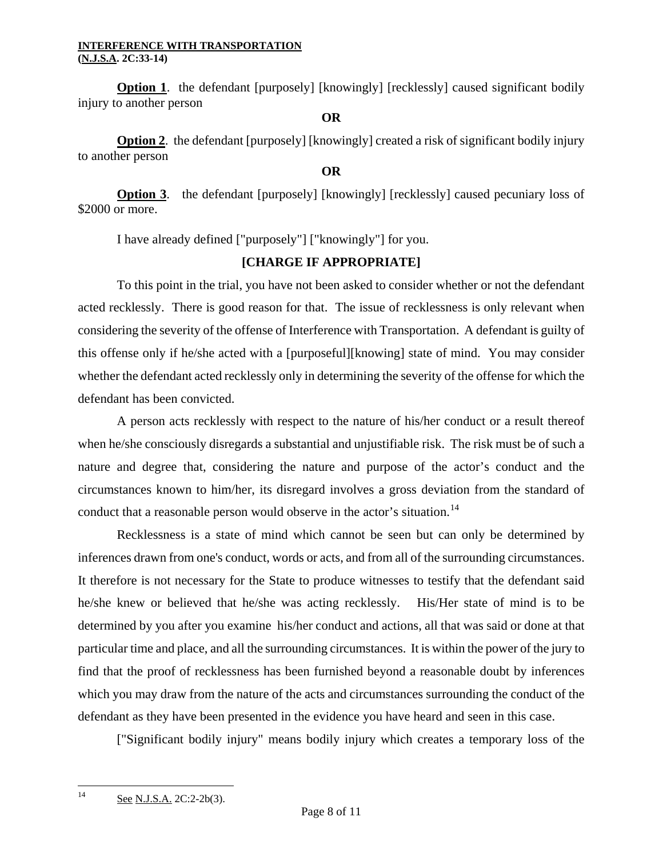**Option 1.** the defendant [purposely] [knowingly] [recklessly] caused significant bodily injury to another person

#### **OR**

**Option 2**. the defendant [purposely] [knowingly] created a risk of significant bodily injury to another person

### **OR**

**Option 3.** the defendant [purposely] [knowingly] [recklessly] caused pecuniary loss of \$2000 or more.

I have already defined ["purposely"] ["knowingly"] for you.

# **[CHARGE IF APPROPRIATE]**

To this point in the trial, you have not been asked to consider whether or not the defendant acted recklessly. There is good reason for that. The issue of recklessness is only relevant when considering the severity of the offense of Interference with Transportation. A defendant is guilty of this offense only if he/she acted with a [purposeful][knowing] state of mind. You may consider whether the defendant acted recklessly only in determining the severity of the offense for which the defendant has been convicted.

A person acts recklessly with respect to the nature of his/her conduct or a result thereof when he/she consciously disregards a substantial and unjustifiable risk. The risk must be of such a nature and degree that, considering the nature and purpose of the actor's conduct and the circumstances known to him/her, its disregard involves a gross deviation from the standard of conduct that a reasonable person would observe in the actor's situation.<sup>[14](#page-6-3)</sup>

Recklessness is a state of mind which cannot be seen but can only be determined by inferences drawn from one's conduct, words or acts, and from all of the surrounding circumstances. It therefore is not necessary for the State to produce witnesses to testify that the defendant said he/she knew or believed that he/she was acting recklessly. His/Her state of mind is to be determined by you after you examine his/her conduct and actions, all that was said or done at that particular time and place, and all the surrounding circumstances. It is within the power of the jury to find that the proof of recklessness has been furnished beyond a reasonable doubt by inferences which you may draw from the nature of the acts and circumstances surrounding the conduct of the defendant as they have been presented in the evidence you have heard and seen in this case.

["Significant bodily injury" means bodily injury which creates a temporary loss of the

<span id="page-7-0"></span> $14$ See N.J.S.A. 2C:2-2b(3).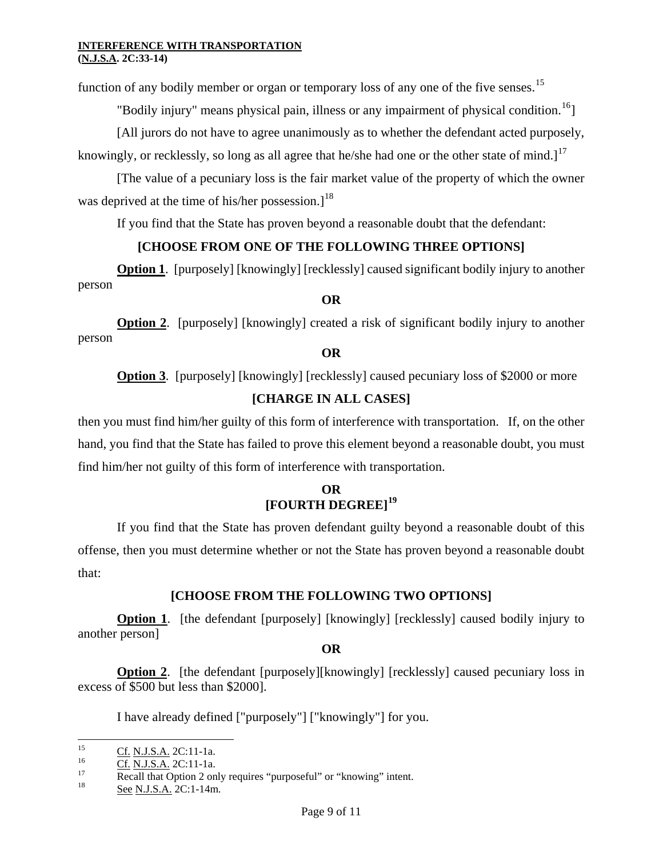function of any bodily member or organ or temporary loss of any one of the five senses.<sup>[15](#page-7-0)</sup>

"Bodily injury" means physical pain, illness or any impairment of physical condition.<sup>[16](#page-8-0)</sup>]

[All jurors do not have to agree unanimously as to whether the defendant acted purposely,

knowingly, or recklessly, so long as all agree that he/she had one or the other state of mind.]<sup>[17](#page-8-1)</sup>

[The value of a pecuniary loss is the fair market value of the property of which the owner was deprived at the time of his/her possession.]<sup>[18](#page-8-2)</sup>

If you find that the State has proven beyond a reasonable doubt that the defendant:

# **[CHOOSE FROM ONE OF THE FOLLOWING THREE OPTIONS]**

**Option 1.** [purposely] [knowingly] [recklessly] caused significant bodily injury to another person

### **OR**

**Option 2.** [purposely] [knowingly] created a risk of significant bodily injury to another person

### **OR**

**Option 3.** [purposely] [knowingly] [recklessly] caused pecuniary loss of \$2000 or more

# **[CHARGE IN ALL CASES]**

then you must find him/her guilty of this form of interference with transportation. If, on the other hand, you find that the State has failed to prove this element beyond a reasonable doubt, you must find him/her not guilty of this form of interference with transportation.

# **OR [FOURTH DEGREE][19](#page-8-3)**

If you find that the State has proven defendant guilty beyond a reasonable doubt of this offense, then you must determine whether or not the State has proven beyond a reasonable doubt that:

# **[CHOOSE FROM THE FOLLOWING TWO OPTIONS]**

**Option 1**. [the defendant [purposely] [knowingly] [recklessly] caused bodily injury to another person]

**OR**

**Option 2.** [the defendant [purposely][knowingly] [recklessly] caused pecuniary loss in excess of \$500 but less than \$2000].

I have already defined ["purposely"] ["knowingly"] for you.

 $15$ 

<span id="page-8-4"></span><span id="page-8-1"></span><span id="page-8-0"></span>

<span id="page-8-3"></span><sup>&</sup>lt;sup>15</sup><br>
<u>Cf. N.J.S.A.</u> 2C:11-1a.<br>
Recall that Option 2 only requires "purposeful" or "knowing" intent.<br>
<u>See N.J.S.A.</u> 2C:1-14m.

<span id="page-8-2"></span>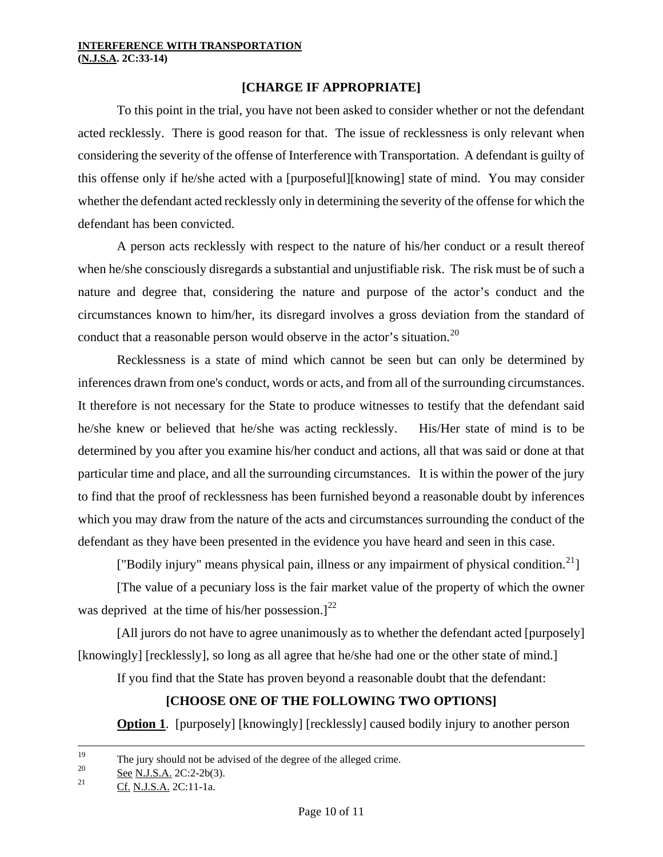### **[CHARGE IF APPROPRIATE]**

To this point in the trial, you have not been asked to consider whether or not the defendant acted recklessly. There is good reason for that. The issue of recklessness is only relevant when considering the severity of the offense of Interference with Transportation. A defendant is guilty of this offense only if he/she acted with a [purposeful][knowing] state of mind. You may consider whether the defendant acted recklessly only in determining the severity of the offense for which the defendant has been convicted.

A person acts recklessly with respect to the nature of his/her conduct or a result thereof when he/she consciously disregards a substantial and unjustifiable risk. The risk must be of such a nature and degree that, considering the nature and purpose of the actor's conduct and the circumstances known to him/her, its disregard involves a gross deviation from the standard of conduct that a reasonable person would observe in the actor's situation.<sup>[20](#page-8-4)</sup>

Recklessness is a state of mind which cannot be seen but can only be determined by inferences drawn from one's conduct, words or acts, and from all of the surrounding circumstances. It therefore is not necessary for the State to produce witnesses to testify that the defendant said he/she knew or believed that he/she was acting recklessly. His/Her state of mind is to be determined by you after you examine his/her conduct and actions, all that was said or done at that particular time and place, and all the surrounding circumstances. It is within the power of the jury to find that the proof of recklessness has been furnished beyond a reasonable doubt by inferences which you may draw from the nature of the acts and circumstances surrounding the conduct of the defendant as they have been presented in the evidence you have heard and seen in this case.

["Bodily injury" means physical pain, illness or any impairment of physical condition.<sup>[21](#page-9-0)</sup>]

[The value of a pecuniary loss is the fair market value of the property of which the owner was deprived at the time of his/her possession.]<sup>[22](#page-9-1)</sup>

[All jurors do not have to agree unanimously as to whether the defendant acted [purposely] [knowingly] [recklessly], so long as all agree that he/she had one or the other state of mind.]

If you find that the State has proven beyond a reasonable doubt that the defendant:

# **[CHOOSE ONE OF THE FOLLOWING TWO OPTIONS]**

**Option 1.** [purposely] [knowingly] [recklessly] caused bodily injury to another person

 $19$ <sup>19</sup> The jury should not be advised of the degree of the alleged crime.

<span id="page-9-0"></span> $\frac{\text{See N.J.S.A.}}{21}$   $\frac{\text{See N.J.S.A.}}{2}$   $\frac{2C:2-2b(3)}{2!}$ .

<span id="page-9-1"></span>Cf. N.J.S.A. 2C:11-1a.